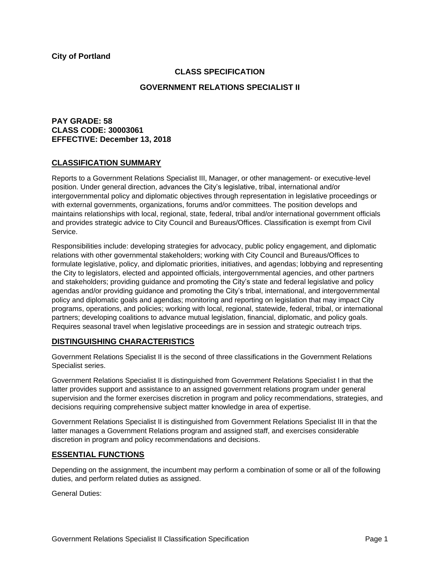## **CLASS SPECIFICATION**

## **GOVERNMENT RELATIONS SPECIALIST II**

# **PAY GRADE: 58 CLASS CODE: 30003061 EFFECTIVE: December 13, 2018**

# **CLASSIFICATION SUMMARY**

Reports to a Government Relations Specialist III, Manager, or other management- or executive-level position. Under general direction, advances the City's legislative, tribal, international and/or intergovernmental policy and diplomatic objectives through representation in legislative proceedings or with external governments, organizations, forums and/or committees. The position develops and maintains relationships with local, regional, state, federal, tribal and/or international government officials and provides strategic advice to City Council and Bureaus/Offices. Classification is exempt from Civil Service.

Responsibilities include: developing strategies for advocacy, public policy engagement, and diplomatic relations with other governmental stakeholders; working with City Council and Bureaus/Offices to formulate legislative, policy, and diplomatic priorities, initiatives, and agendas; lobbying and representing the City to legislators, elected and appointed officials, intergovernmental agencies, and other partners and stakeholders; providing guidance and promoting the City's state and federal legislative and policy agendas and/or providing guidance and promoting the City's tribal, international, and intergovernmental policy and diplomatic goals and agendas; monitoring and reporting on legislation that may impact City programs, operations, and policies; working with local, regional, statewide, federal, tribal, or international partners; developing coalitions to advance mutual legislation, financial, diplomatic, and policy goals. Requires seasonal travel when legislative proceedings are in session and strategic outreach trips.

## **DISTINGUISHING CHARACTERISTICS**

Government Relations Specialist II is the second of three classifications in the Government Relations Specialist series.

Government Relations Specialist II is distinguished from Government Relations Specialist I in that the latter provides support and assistance to an assigned government relations program under general supervision and the former exercises discretion in program and policy recommendations, strategies, and decisions requiring comprehensive subject matter knowledge in area of expertise.

Government Relations Specialist II is distinguished from Government Relations Specialist III in that the latter manages a Government Relations program and assigned staff, and exercises considerable discretion in program and policy recommendations and decisions.

## **ESSENTIAL FUNCTIONS**

Depending on the assignment, the incumbent may perform a combination of some or all of the following duties, and perform related duties as assigned.

General Duties: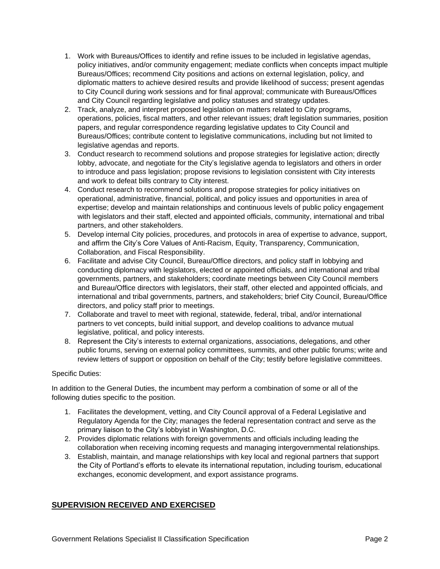- 1. Work with Bureaus/Offices to identify and refine issues to be included in legislative agendas, policy initiatives, and/or community engagement; mediate conflicts when concepts impact multiple Bureaus/Offices; recommend City positions and actions on external legislation, policy, and diplomatic matters to achieve desired results and provide likelihood of success; present agendas to City Council during work sessions and for final approval; communicate with Bureaus/Offices and City Council regarding legislative and policy statuses and strategy updates.
- 2. Track, analyze, and interpret proposed legislation on matters related to City programs, operations, policies, fiscal matters, and other relevant issues; draft legislation summaries, position papers, and regular correspondence regarding legislative updates to City Council and Bureaus/Offices; contribute content to legislative communications, including but not limited to legislative agendas and reports.
- 3. Conduct research to recommend solutions and propose strategies for legislative action; directly lobby, advocate, and negotiate for the City's legislative agenda to legislators and others in order to introduce and pass legislation; propose revisions to legislation consistent with City interests and work to defeat bills contrary to City interest.
- 4. Conduct research to recommend solutions and propose strategies for policy initiatives on operational, administrative, financial, political, and policy issues and opportunities in area of expertise; develop and maintain relationships and continuous levels of public policy engagement with legislators and their staff, elected and appointed officials, community, international and tribal partners, and other stakeholders.
- 5. Develop internal City policies, procedures, and protocols in area of expertise to advance, support, and affirm the City's Core Values of Anti-Racism, Equity, Transparency, Communication, Collaboration, and Fiscal Responsibility.
- 6. Facilitate and advise City Council, Bureau/Office directors, and policy staff in lobbying and conducting diplomacy with legislators, elected or appointed officials, and international and tribal governments, partners, and stakeholders; coordinate meetings between City Council members and Bureau/Office directors with legislators, their staff, other elected and appointed officials, and international and tribal governments, partners, and stakeholders; brief City Council, Bureau/Office directors, and policy staff prior to meetings.
- 7. Collaborate and travel to meet with regional, statewide, federal, tribal, and/or international partners to vet concepts, build initial support, and develop coalitions to advance mutual legislative, political, and policy interests.
- 8. Represent the City's interests to external organizations, associations, delegations, and other public forums, serving on external policy committees, summits, and other public forums; write and review letters of support or opposition on behalf of the City; testify before legislative committees.

## Specific Duties:

In addition to the General Duties, the incumbent may perform a combination of some or all of the following duties specific to the position.

- 1. Facilitates the development, vetting, and City Council approval of a Federal Legislative and Regulatory Agenda for the City; manages the federal representation contract and serve as the primary liaison to the City's lobbyist in Washington, D.C.
- 2. Provides diplomatic relations with foreign governments and officials including leading the collaboration when receiving incoming requests and managing intergovernmental relationships.
- 3. Establish, maintain, and manage relationships with key local and regional partners that support the City of Portland's efforts to elevate its international reputation, including tourism, educational exchanges, economic development, and export assistance programs.

# **SUPERVISION RECEIVED AND EXERCISED**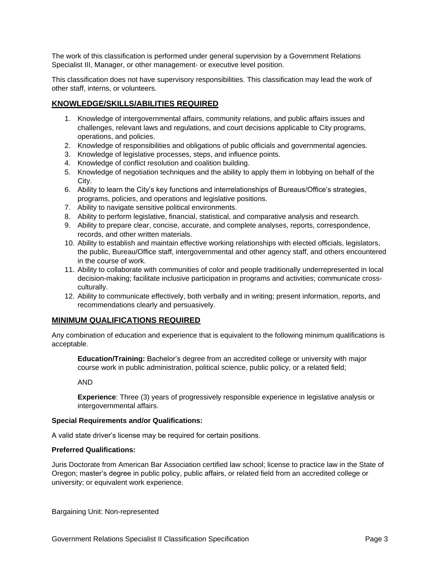The work of this classification is performed under general supervision by a Government Relations Specialist III, Manager, or other management- or executive level position.

This classification does not have supervisory responsibilities. This classification may lead the work of other staff, interns, or volunteers.

# **KNOWLEDGE/SKILLS/ABILITIES REQUIRED**

- 1. Knowledge of intergovernmental affairs, community relations, and public affairs issues and challenges, relevant laws and regulations, and court decisions applicable to City programs, operations, and policies.
- 2. Knowledge of responsibilities and obligations of public officials and governmental agencies.
- 3. Knowledge of legislative processes, steps, and influence points.
- 4. Knowledge of conflict resolution and coalition building.
- 5. Knowledge of negotiation techniques and the ability to apply them in lobbying on behalf of the City.
- 6. Ability to learn the City's key functions and interrelationships of Bureaus/Office's strategies, programs, policies, and operations and legislative positions.
- 7. Ability to navigate sensitive political environments.
- 8. Ability to perform legislative, financial, statistical, and comparative analysis and research.
- 9. Ability to prepare clear, concise, accurate, and complete analyses, reports, correspondence, records, and other written materials.
- 10. Ability to establish and maintain effective working relationships with elected officials, legislators, the public, Bureau/Office staff, intergovernmental and other agency staff, and others encountered in the course of work.
- 11. Ability to collaborate with communities of color and people traditionally underrepresented in local decision-making; facilitate inclusive participation in programs and activities; communicate crossculturally.
- 12. Ability to communicate effectively, both verbally and in writing; present information, reports, and recommendations clearly and persuasively.

## **MINIMUM QUALIFICATIONS REQUIRED**

Any combination of education and experience that is equivalent to the following minimum qualifications is acceptable.

**Education/Training:** Bachelor's degree from an accredited college or university with major course work in public administration, political science, public policy, or a related field;

AND

**Experience**: Three (3) years of progressively responsible experience in legislative analysis or intergovernmental affairs.

#### **Special Requirements and/or Qualifications:**

A valid state driver's license may be required for certain positions.

#### **Preferred Qualifications:**

Juris Doctorate from American Bar Association certified law school; license to practice law in the State of Oregon; master's degree in public policy, public affairs, or related field from an accredited college or university; or equivalent work experience.

Bargaining Unit: Non-represented